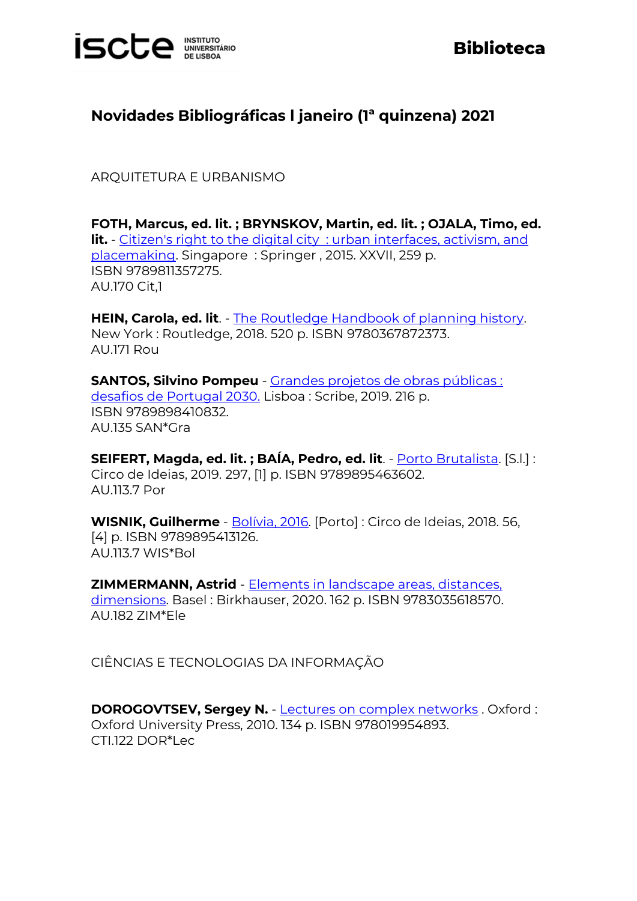

## **Biblioteca**

## **Novidades Bibliográficas l janeiro (1ª quinzena) 2021**

ARQUITETURA E URBANISMO

**FOTH, Marcus, ed. lit. ; BRYNSKOV, Martin, ed. lit. ; OJALA, Timo, ed. lit.** - Citizen's right to the digital city [: urban interfaces, activism, and](https://catalogo.biblioteca.iscte-iul.pt/cgi-bin/koha/opac-detail.pl?biblionumber=107985)  [placemaking.](https://catalogo.biblioteca.iscte-iul.pt/cgi-bin/koha/opac-detail.pl?biblionumber=107985) Singapore : Springer , 2015. XXVII, 259 p. ISBN 9789811357275. AU.170 Cit,1

**HEIN, Carola, ed. lit**. - [The Routledge Handbook of planning history.](https://catalogo.biblioteca.iscte-iul.pt/cgi-bin/koha/opac-detail.pl?biblionumber=107626) New York : Routledge, 2018. 520 p. ISBN 9780367872373. AU.171 Rou

**SANTOS, Silvino Pompeu** - [Grandes projetos de obras públicas :](https://catalogo.biblioteca.iscte-iul.pt/cgi-bin/koha/opac-detail.pl?biblionumber=107792)  [desafios de Portugal 2030.](https://catalogo.biblioteca.iscte-iul.pt/cgi-bin/koha/opac-detail.pl?biblionumber=107792) Lisboa : Scribe, 2019. 216 p. ISBN 9789898410832. AU.135 SAN\*Gra

**SEIFERT, Magda, ed. lit. ; BAÍA, Pedro, ed. lit**. - [Porto Brutalista.](https://catalogo.biblioteca.iscte-iul.pt/cgi-bin/koha/opac-detail.pl?biblionumber=107791) [S.l.] : Circo de Ideias, 2019. 297, [1] p. ISBN 9789895463602. AU.113.7 Por

**WISNIK, Guilherme** - [Bolívia, 2016.](https://catalogo.biblioteca.iscte-iul.pt/cgi-bin/koha/opac-detail.pl?biblionumber=107772) [Porto] : Circo de Ideias, 2018. 56, [4] p. ISBN 9789895413126. AU.113.7 WIS\*Bol

**ZIMMERMANN, Astrid** - [Elements in landscape areas, distances,](https://catalogo.biblioteca.iscte-iul.pt/cgi-bin/koha/opac-detail.pl?biblionumber=108199)  [dimensions.](https://catalogo.biblioteca.iscte-iul.pt/cgi-bin/koha/opac-detail.pl?biblionumber=108199) Basel : Birkhauser, 2020. 162 p. ISBN 9783035618570. AU.182 ZIM\*Ele

CIÊNCIAS E TECNOLOGIAS DA INFORMAÇÃO

**DOROGOVTSEV, Sergey N.** - [Lectures on complex networks](https://catalogo.biblioteca.iscte-iul.pt/cgi-bin/koha/opac-detail.pl?biblionumber=107468) . Oxford : Oxford University Press, 2010. 134 p. ISBN 978019954893. CTI.122 DOR\*Lec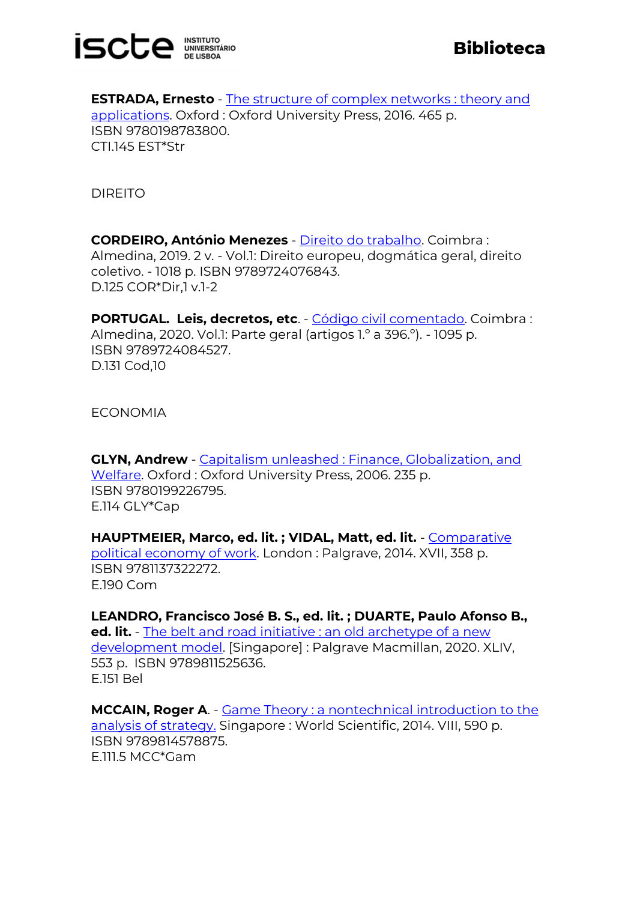

**ESTRADA, Ernesto** - [The structure of complex networks : theory and](https://catalogo.biblioteca.iscte-iul.pt/cgi-bin/koha/opac-detail.pl?biblionumber=107469)  [applications.](https://catalogo.biblioteca.iscte-iul.pt/cgi-bin/koha/opac-detail.pl?biblionumber=107469) Oxford : Oxford University Press, 2016. 465 p. ISBN 9780198783800. CTI.145 EST\*Str

DIREITO

**CORDEIRO, António Menezes** - [Direito do trabalho.](https://catalogo.biblioteca.iscte-iul.pt/cgi-bin/koha/opac-detail.pl?biblionumber=107775) Coimbra : Almedina, 2019. 2 v. - Vol.1: Direito europeu, dogmática geral, direito coletivo. - 1018 p. ISBN 9789724076843. D.125 COR\*Dir,1 v.1-2

**PORTUGAL. Leis, decretos, etc**. - [Código civil comentado.](https://catalogo.biblioteca.iscte-iul.pt/cgi-bin/koha/opac-detail.pl?biblionumber=107786) Coimbra : Almedina, 2020. Vol.1: Parte geral (artigos 1.º a 396.º). - 1095 p. ISBN 9789724084527. D.131 Cod,10

ECONOMIA

**GLYN, Andrew** - [Capitalism unleashed : Finance, Globalization, and](https://catalogo.biblioteca.iscte-iul.pt/cgi-bin/koha/opac-detail.pl?biblionumber=107466)  [Welfare.](https://catalogo.biblioteca.iscte-iul.pt/cgi-bin/koha/opac-detail.pl?biblionumber=107466) Oxford : Oxford University Press, 2006. 235 p. ISBN 9780199226795. E.114 GLY\*Cap

**HAUPTMEIER, Marco, ed. lit. ; VIDAL, Matt, ed. lit.** - [Comparative](https://catalogo.biblioteca.iscte-iul.pt/cgi-bin/koha/opac-detail.pl?biblionumber=107954)  [political economy of work.](https://catalogo.biblioteca.iscte-iul.pt/cgi-bin/koha/opac-detail.pl?biblionumber=107954) London : Palgrave, 2014. XVII, 358 p. ISBN 9781137322272. E.190 Com

**LEANDRO, Francisco José B. S., ed. lit. ; DUARTE, Paulo Afonso B., ed. lit.** - The belt and road initiative : an old archetype of a new [development model.](https://catalogo.biblioteca.iscte-iul.pt/cgi-bin/koha/opac-detail.pl?biblionumber=108443) [Singapore] : Palgrave Macmillan, 2020. XLIV, 553 p. ISBN 9789811525636. E.151 Bel

**MCCAIN, Roger A**. - [Game Theory : a nontechnical introduction to the](https://catalogo.biblioteca.iscte-iul.pt/cgi-bin/koha/opac-detail.pl?biblionumber=107929)  [analysis of strategy.](https://catalogo.biblioteca.iscte-iul.pt/cgi-bin/koha/opac-detail.pl?biblionumber=107929) Singapore : World Scientific, 2014. VIII, 590 p. ISBN 9789814578875. E.111.5 MCC\*Gam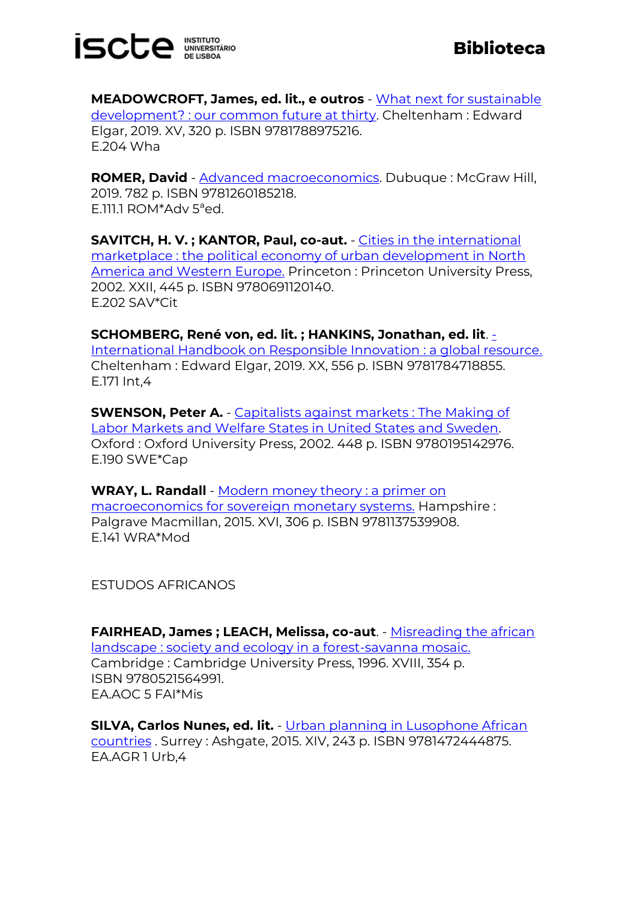

**MEADOWCROFT, James, ed. lit., e outros** - [What next for sustainable](https://catalogo.biblioteca.iscte-iul.pt/cgi-bin/koha/opac-detail.pl?biblionumber=108596)  [development? : our common future at thirty.](https://catalogo.biblioteca.iscte-iul.pt/cgi-bin/koha/opac-detail.pl?biblionumber=108596) Cheltenham : Edward Elgar, 2019. XV, 320 p. ISBN 9781788975216. E.204 Wha

**ROMER, David** - [Advanced macroeconomics.](https://catalogo.biblioteca.iscte-iul.pt/cgi-bin/koha/opac-detail.pl?biblionumber=107638) Dubuque : McGraw Hill, 2019. 782 p. ISBN 9781260185218. E.111.1 ROM\*Adv 5ªed.

**SAVITCH, H. V. ; KANTOR, Paul, co-aut.** - [Cities in the international](https://catalogo.biblioteca.iscte-iul.pt/cgi-bin/koha/opac-detail.pl?biblionumber=107950)  [marketplace : the political economy of urban development in North](https://catalogo.biblioteca.iscte-iul.pt/cgi-bin/koha/opac-detail.pl?biblionumber=107950)  [America and Western Europe.](https://catalogo.biblioteca.iscte-iul.pt/cgi-bin/koha/opac-detail.pl?biblionumber=107950) Princeton: Princeton University Press, 2002. XXII, 445 p. ISBN 9780691120140. E.202 SAV\*Cit

**SCHOMBERG, René von, ed. lit. ; HANKINS, Jonathan, ed. lit**. [-](https://catalogo.biblioteca.iscte-iul.pt/cgi-bin/koha/opac-detail.pl?biblionumber=108566) [International Handbook on Responsible Innovation : a global resource.](https://catalogo.biblioteca.iscte-iul.pt/cgi-bin/koha/opac-detail.pl?biblionumber=108566) Cheltenham : Edward Elgar, 2019. XX, 556 p. ISBN 9781784718855. E.171 Int,4

**SWENSON, Peter A.** - [Capitalists against markets : The Making of](https://catalogo.biblioteca.iscte-iul.pt/cgi-bin/koha/opac-detail.pl?biblionumber=107465)  [Labor Markets and Welfare States in United States and Sweden.](https://catalogo.biblioteca.iscte-iul.pt/cgi-bin/koha/opac-detail.pl?biblionumber=107465) Oxford : Oxford University Press, 2002. 448 p. ISBN 9780195142976. E.190 SWE\*Cap

**WRAY, L. Randall** - [Modern money theory : a primer on](https://catalogo.biblioteca.iscte-iul.pt/cgi-bin/koha/opac-detail.pl?biblionumber=107952)  [macroeconomics for sovereign monetary systems.](https://catalogo.biblioteca.iscte-iul.pt/cgi-bin/koha/opac-detail.pl?biblionumber=107952) Hampshire : Palgrave Macmillan, 2015. XVI, 306 p. ISBN 9781137539908. E.141 WRA\*Mod

ESTUDOS AFRICANOS

**FAIRHEAD, James ; LEACH, Melissa, co-aut**. - [Misreading the african](https://catalogo.biblioteca.iscte-iul.pt/cgi-bin/koha/opac-detail.pl?biblionumber=107852)  [landscape : society and ecology in a forest-savanna mosaic.](https://catalogo.biblioteca.iscte-iul.pt/cgi-bin/koha/opac-detail.pl?biblionumber=107852) Cambridge : Cambridge University Press, 1996. XVIII, 354 p. ISBN 9780521564991. EA.AOC 5 FAI\*Mis

**SILVA, Carlos Nunes, ed. lit.** - [Urban planning in Lusophone African](https://catalogo.biblioteca.iscte-iul.pt/cgi-bin/koha/opac-detail.pl?biblionumber=107582)  [countries](https://catalogo.biblioteca.iscte-iul.pt/cgi-bin/koha/opac-detail.pl?biblionumber=107582) . Surrey : Ashgate, 2015. XIV, 243 p. ISBN 9781472444875. EA.AGR 1 Urb,4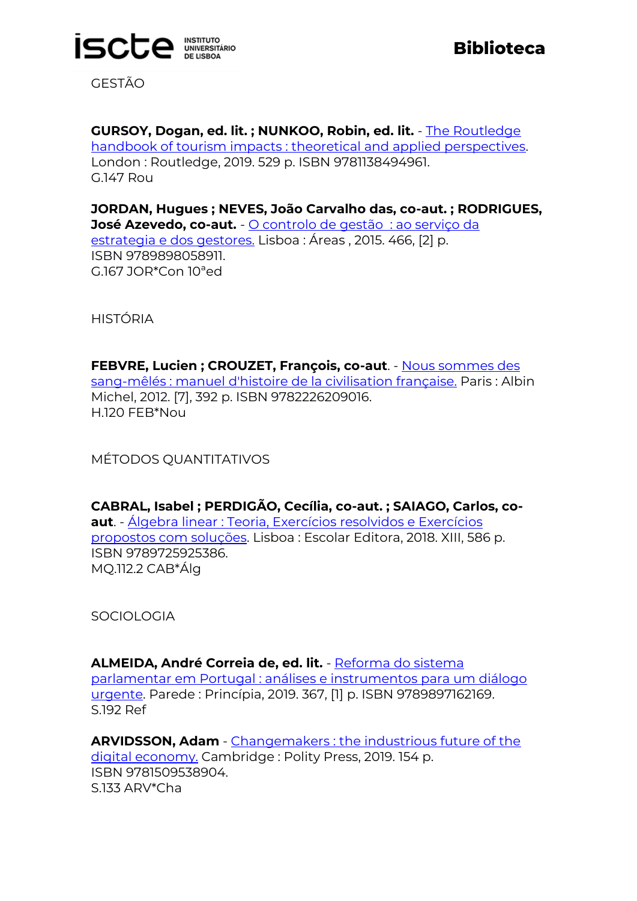

GESTÃO

**GURSOY, Dogan, ed. lit. ; NUNKOO, Robin, ed. lit.** - [The Routledge](https://catalogo.biblioteca.iscte-iul.pt/cgi-bin/koha/opac-detail.pl?biblionumber=107695)  [handbook of tourism impacts : theoretical and applied perspectives.](https://catalogo.biblioteca.iscte-iul.pt/cgi-bin/koha/opac-detail.pl?biblionumber=107695) London : Routledge, 2019. 529 p. ISBN 9781138494961. G.147 Rou

**JORDAN, Hugues ; NEVES, João Carvalho das, co-aut. ; RODRIGUES, José Azevedo, co-aut.** - [O controlo de gestão](https://catalogo.biblioteca.iscte-iul.pt/cgi-bin/koha/opac-detail.pl?biblionumber=107931) : ao serviço da [estrategia e dos gestores.](https://catalogo.biblioteca.iscte-iul.pt/cgi-bin/koha/opac-detail.pl?biblionumber=107931) Lisboa : Áreas , 2015. 466, [2] p. ISBN 9789898058911. G.167 JOR\*Con 10ªed

HISTÓRIA

**FEBVRE, Lucien ; CROUZET, François, co-aut**. - [Nous sommes des](https://catalogo.biblioteca.iscte-iul.pt/cgi-bin/koha/opac-detail.pl?biblionumber=107302)  [sang-mêlés : manuel d'histoire de la civilisation française.](https://catalogo.biblioteca.iscte-iul.pt/cgi-bin/koha/opac-detail.pl?biblionumber=107302) Paris : Albin Michel, 2012. [7], 392 p. ISBN 9782226209016. H.120 FEB\*Nou

MÉTODOS QUANTITATIVOS

**CABRAL, Isabel ; PERDIGÃO, Cecília, co-aut. ; SAIAGO, Carlos, coaut**. - [Álgebra linear : Teoria, Exercícios resolvidos e Exercícios](https://catalogo.biblioteca.iscte-iul.pt/cgi-bin/koha/opac-detail.pl?biblionumber=107932)  [propostos com soluções.](https://catalogo.biblioteca.iscte-iul.pt/cgi-bin/koha/opac-detail.pl?biblionumber=107932) Lisboa : Escolar Editora, 2018. XIII, 586 p. ISBN 9789725925386. MQ.112.2 CAB\*Álg

**SOCIOLOGIA** 

**ALMEIDA, André Correia de, ed. lit.** - [Reforma do sistema](https://catalogo.biblioteca.iscte-iul.pt/cgi-bin/koha/opac-detail.pl?biblionumber=107789)  [parlamentar em Portugal : análises e instrumentos para um diálogo](https://catalogo.biblioteca.iscte-iul.pt/cgi-bin/koha/opac-detail.pl?biblionumber=107789)  [urgente.](https://catalogo.biblioteca.iscte-iul.pt/cgi-bin/koha/opac-detail.pl?biblionumber=107789) Parede : Princípia, 2019. 367, [1] p. ISBN 9789897162169. S.192 Ref

**ARVIDSSON, Adam** - [Changemakers : the industrious future of the](https://catalogo.biblioteca.iscte-iul.pt/cgi-bin/koha/opac-detail.pl?biblionumber=107811)  [digital economy.](https://catalogo.biblioteca.iscte-iul.pt/cgi-bin/koha/opac-detail.pl?biblionumber=107811) Cambridge : Polity Press, 2019. 154 p. ISBN 9781509538904. S.133 ARV\*Cha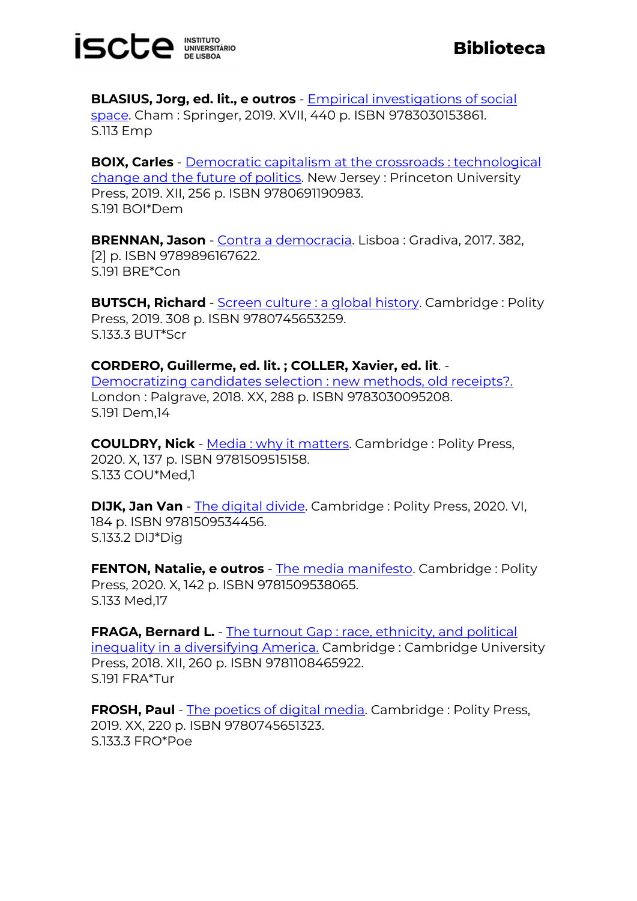

**BLASIUS, Jorg, ed. lit., e outros** - [Empirical investigations of social](https://catalogo.biblioteca.iscte-iul.pt/cgi-bin/koha/opac-detail.pl?biblionumber=108522)  [space.](https://catalogo.biblioteca.iscte-iul.pt/cgi-bin/koha/opac-detail.pl?biblionumber=108522) Cham : Springer, 2019. XVII, 440 p. ISBN 9783030153861. S.113 Emp

**BOIX, Carles** - [Democratic capitalism at the crossroads : technological](https://catalogo.biblioteca.iscte-iul.pt/cgi-bin/koha/opac-detail.pl?biblionumber=107809)  [change and the future of politics.](https://catalogo.biblioteca.iscte-iul.pt/cgi-bin/koha/opac-detail.pl?biblionumber=107809) New Jersey : Princeton University Press, 2019. XII, 256 p. ISBN 9780691190983. S.191 BOI\*Dem

**BRENNAN, Jason** - [Contra a democracia.](https://catalogo.biblioteca.iscte-iul.pt/cgi-bin/koha/opac-detail.pl?biblionumber=107979) Lisboa : Gradiva, 2017. 382, [2] p. ISBN 9789896167622. S.191 BRE\*Con

**BUTSCH, Richard** - [Screen culture : a global history.](https://catalogo.biblioteca.iscte-iul.pt/cgi-bin/koha/opac-detail.pl?biblionumber=107814) Cambridge : Polity Press, 2019. 308 p. ISBN 9780745653259. S.133.3 BUT\*Scr

**CORDERO, Guillerme, ed. lit. ; COLLER, Xavier, ed. lit**. -

[Democratizing candidates selection : new methods, old receipts?.](https://catalogo.biblioteca.iscte-iul.pt/cgi-bin/koha/opac-detail.pl?biblionumber=107988) London : Palgrave, 2018. XX, 288 p. ISBN 9783030095208. S.191 Dem,14

**COULDRY, Nick** - [Media : why it matters.](https://catalogo.biblioteca.iscte-iul.pt/cgi-bin/koha/opac-detail.pl?biblionumber=107808) Cambridge : Polity Press, 2020. X, 137 p. ISBN 9781509515158. S.133 COU\*Med,1

**DIJK, Jan Van** - [The digital divide.](https://catalogo.biblioteca.iscte-iul.pt/cgi-bin/koha/opac-detail.pl?biblionumber=107806) Cambridge : Polity Press, 2020. VI, 184 p. ISBN 9781509534456. S.133.2 DIJ\*Dig

**FENTON, Natalie, e outros** - [The media manifesto.](https://catalogo.biblioteca.iscte-iul.pt/cgi-bin/koha/opac-detail.pl?biblionumber=107810) Cambridge : Polity Press, 2020. X, 142 p. ISBN 9781509538065. S.133 Med,17

**FRAGA, Bernard L.** - The turnout Gap : race, ethnicity, and political [inequality in a diversifying America.](https://catalogo.biblioteca.iscte-iul.pt/cgi-bin/koha/opac-detail.pl?biblionumber=108452) Cambridge : Cambridge University Press, 2018. XII, 260 p. ISBN 9781108465922. S.191 FRA\*Tur

**FROSH, Paul** - [The poetics of digital media.](https://catalogo.biblioteca.iscte-iul.pt/cgi-bin/koha/opac-detail.pl?biblionumber=107801) Cambridge : Polity Press, 2019. XX, 220 p. ISBN 9780745651323. S.133.3 FRO\*Poe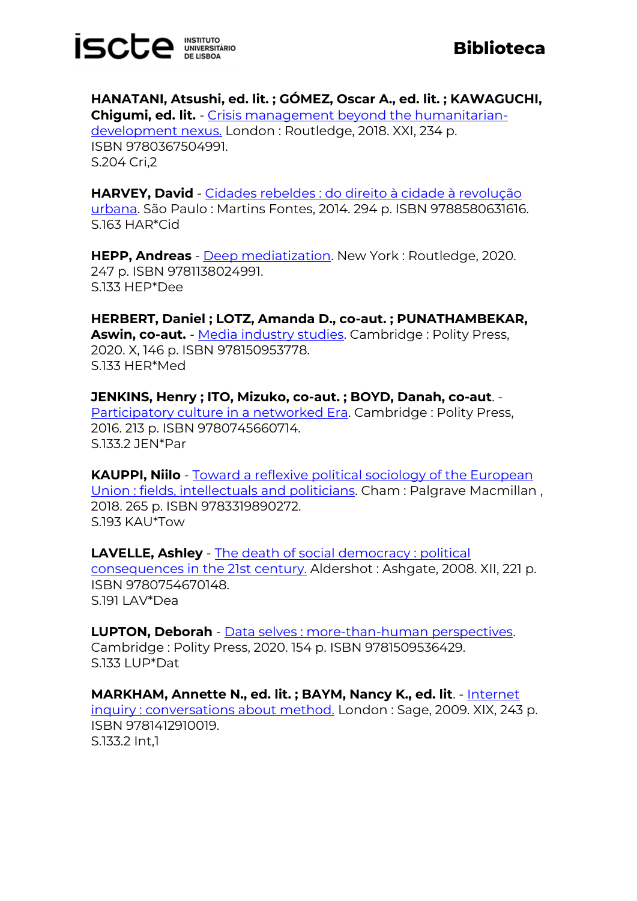

**Biblioteca**

**HANATANI, Atsushi, ed. lit. ; GÓMEZ, Oscar A., ed. lit. ; KAWAGUCHI, Chigumi, ed. lit.** - [Crisis management beyond the humanitarian](https://catalogo.biblioteca.iscte-iul.pt/cgi-bin/koha/opac-detail.pl?biblionumber=108119)[development nexus.](https://catalogo.biblioteca.iscte-iul.pt/cgi-bin/koha/opac-detail.pl?biblionumber=108119) London : Routledge, 2018. XXI, 234 p. ISBN 9780367504991. S.204 Cri,2

**HARVEY, David** - [Cidades rebeldes : do direito à cidade à revolução](https://catalogo.biblioteca.iscte-iul.pt/cgi-bin/koha/opac-detail.pl?biblionumber=107802)  [urbana.](https://catalogo.biblioteca.iscte-iul.pt/cgi-bin/koha/opac-detail.pl?biblionumber=107802) São Paulo : Martins Fontes, 2014. 294 p. ISBN 9788580631616. S.163 HAR\*Cid

**HEPP, Andreas** - **Deep mediatization**. New York: Routledge, 2020. 247 p. ISBN 9781138024991. S.133 HEP\*Dee

**HERBERT, Daniel ; LOTZ, Amanda D., co-aut. ; PUNATHAMBEKAR, Aswin, co-aut.** - [Media industry studies.](https://catalogo.biblioteca.iscte-iul.pt/cgi-bin/koha/opac-detail.pl?biblionumber=107805) Cambridge : Polity Press, 2020. X, 146 p. ISBN 978150953778. S.133 HER\*Med

**JENKINS, Henry ; ITO, Mizuko, co-aut. ; BOYD, Danah, co-aut**. - [Participatory culture in a networked Era.](https://catalogo.biblioteca.iscte-iul.pt/cgi-bin/koha/opac-detail.pl?biblionumber=107691) Cambridge : Polity Press, 2016. 213 p. ISBN 9780745660714. S.133.2 JEN\*Par

**KAUPPI, Niilo** - [Toward a reflexive political sociology of the European](https://catalogo.biblioteca.iscte-iul.pt/cgi-bin/koha/opac-detail.pl?biblionumber=108445)  [Union : fields, intellectuals and politicians.](https://catalogo.biblioteca.iscte-iul.pt/cgi-bin/koha/opac-detail.pl?biblionumber=108445) Cham : Palgrave Macmillan , 2018. 265 p. ISBN 9783319890272. S.193 KAU\*Tow

**LAVELLE, Ashley** - [The death of social democracy : political](https://catalogo.biblioteca.iscte-iul.pt/cgi-bin/koha/opac-detail.pl?biblionumber=108196)  [consequences in the 21st century.](https://catalogo.biblioteca.iscte-iul.pt/cgi-bin/koha/opac-detail.pl?biblionumber=108196) Aldershot : Ashgate, 2008. XII, 221 p. ISBN 9780754670148. S.191 LAV\*Dea

**LUPTON, Deborah** - [Data selves : more-than-human perspectives.](https://catalogo.biblioteca.iscte-iul.pt/cgi-bin/koha/opac-detail.pl?biblionumber=107827) Cambridge : Polity Press, 2020. 154 p. ISBN 9781509536429. S.133 LUP\*Dat

**MARKHAM, Annette N., ed. lit. ; BAYM, Nancy K., ed. lit.** - Internet [inquiry : conversations about method.](https://catalogo.biblioteca.iscte-iul.pt/cgi-bin/koha/opac-detail.pl?biblionumber=108187) London : Sage, 2009. XIX, 243 p. ISBN 9781412910019. S.133.2 Int,1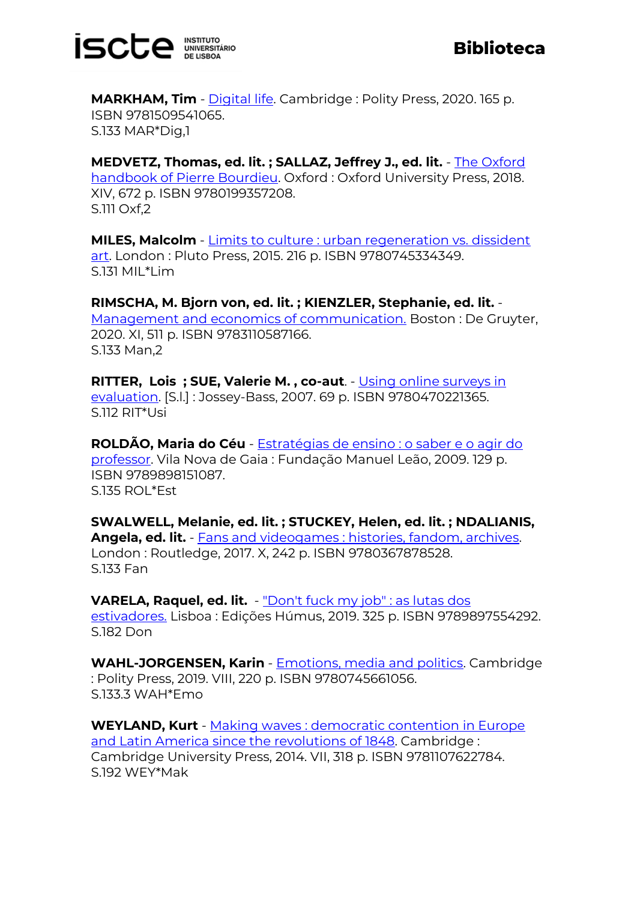

**MARKHAM, Tim** - *Digital life*. Cambridge : Polity Press, 2020. 165 p. ISBN 9781509541065. S.133 MAR\*Dig,1

**MEDVETZ, Thomas, ed. lit. ; SALLAZ, Jeffrey J., ed. lit.** - [The Oxford](https://catalogo.biblioteca.iscte-iul.pt/cgi-bin/koha/opac-detail.pl?biblionumber=108585)  [handbook of Pierre Bourdieu.](https://catalogo.biblioteca.iscte-iul.pt/cgi-bin/koha/opac-detail.pl?biblionumber=108585) Oxford : Oxford University Press, 2018. XIV, 672 p. ISBN 9780199357208. S.111 Oxf,2

**MILES, Malcolm** - [Limits to culture : urban regeneration vs. dissident](https://catalogo.biblioteca.iscte-iul.pt/cgi-bin/koha/opac-detail.pl?biblionumber=107693)  [art.](https://catalogo.biblioteca.iscte-iul.pt/cgi-bin/koha/opac-detail.pl?biblionumber=107693) London : Pluto Press, 2015. 216 p. ISBN 9780745334349. S.131 MIL\*Lim

**RIMSCHA, M. Bjorn von, ed. lit. ; KIENZLER, Stephanie, ed. lit.** - [Management and economics of communication.](https://catalogo.biblioteca.iscte-iul.pt/cgi-bin/koha/opac-detail.pl?biblionumber=108204) Boston : De Gruyter, 2020. XI, 511 p. ISBN 9783110587166. S.133 Man,2

**RITTER, Lois ; SUE, Valerie M. , co-aut**. - [Using online surveys in](https://catalogo.biblioteca.iscte-iul.pt/cgi-bin/koha/opac-detail.pl?biblionumber=107692)  [evaluation.](https://catalogo.biblioteca.iscte-iul.pt/cgi-bin/koha/opac-detail.pl?biblionumber=107692) [S.l.] : Jossey-Bass, 2007. 69 p. ISBN 9780470221365. S.112 RIT\*Usi

**ROLDÃO, Maria do Céu** - [Estratégias de ensino : o saber e o agir do](https://catalogo.biblioteca.iscte-iul.pt/cgi-bin/koha/opac-detail.pl?biblionumber=107983)  [professor.](https://catalogo.biblioteca.iscte-iul.pt/cgi-bin/koha/opac-detail.pl?biblionumber=107983) Vila Nova de Gaia : Fundação Manuel Leão, 2009. 129 p. ISBN 9789898151087. S.135 ROL\*Est

**SWALWELL, Melanie, ed. lit. ; STUCKEY, Helen, ed. lit. ; NDALIANIS, Angela, ed. lit.** - [Fans and videogames : histories, fandom, archives.](https://catalogo.biblioteca.iscte-iul.pt/cgi-bin/koha/opac-detail.pl?biblionumber=108563)  London : Routledge, 2017. X, 242 p. ISBN 9780367878528. S.133 Fan

**VARELA, Raquel, ed. lit.** - ["Don't fuck my job" : as lutas dos](https://catalogo.biblioteca.iscte-iul.pt/cgi-bin/koha/opac-detail.pl?biblionumber=107930)  [estivadores.](https://catalogo.biblioteca.iscte-iul.pt/cgi-bin/koha/opac-detail.pl?biblionumber=107930) Lisboa : Edições Húmus, 2019. 325 p. ISBN 9789897554292. S.182 Don

**WAHL-JORGENSEN, Karin** - [Emotions, media and politics.](https://catalogo.biblioteca.iscte-iul.pt/cgi-bin/koha/opac-detail.pl?biblionumber=107813) Cambridge : Polity Press, 2019. VIII, 220 p. ISBN 9780745661056. S.133.3 WAH\*Emo

**WEYLAND, Kurt** - [Making waves : democratic contention in Europe](https://catalogo.biblioteca.iscte-iul.pt/cgi-bin/koha/opac-detail.pl?biblionumber=108450)  [and Latin America since the revolutions of 1848.](https://catalogo.biblioteca.iscte-iul.pt/cgi-bin/koha/opac-detail.pl?biblionumber=108450) Cambridge : Cambridge University Press, 2014. VII, 318 p. ISBN 9781107622784. S.192 WEY\*Mak